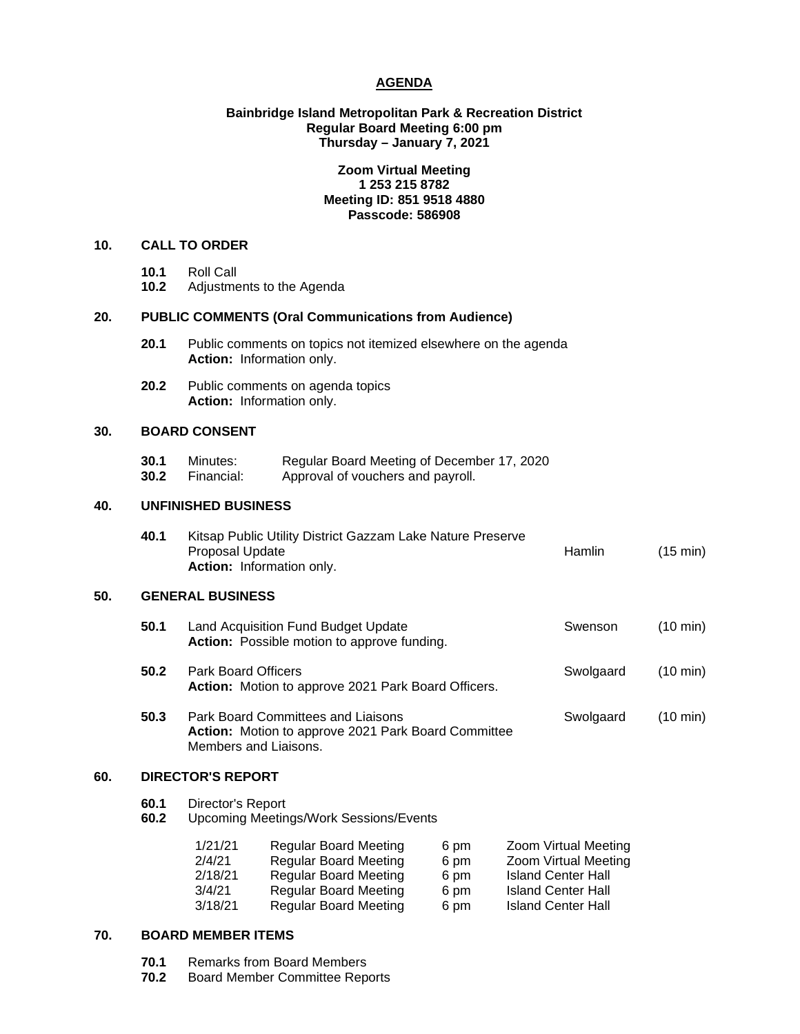# **AGENDA**

# **Bainbridge Island Metropolitan Park & Recreation District Regular Board Meeting 6:00 pm Thursday – January 7, 2021**

# **Zoom Virtual Meeting 1 253 215 8782 Meeting ID: 851 9518 4880 Passcode: 586908**

# **10. CALL TO ORDER**

- 
- **10.1** Roll Call **10.2** Adjustments to the Agenda

# **20. PUBLIC COMMENTS (Oral Communications from Audience)**

- **20.1** Public comments on topics not itemized elsewhere on the agenda **Action:** Information only.
- **20.2** Public comments on agenda topics **Action:** Information only.

### **30. BOARD CONSENT**

**30.1** Minutes: Regular Board Meeting of December 17, 2020<br>**30.2** Financial: Approval of vouchers and pavroll. Approval of vouchers and payroll.

## **40. UNFINISHED BUSINESS**

| 40.1 | Kitsap Public Utility District Gazzam Lake Nature Preserve |               |                    |  |  |
|------|------------------------------------------------------------|---------------|--------------------|--|--|
|      | Proposal Update                                            | <b>Hamlin</b> | $(15 \text{ min})$ |  |  |
|      | <b>Action:</b> Information only.                           |               |                    |  |  |

### **50. GENERAL BUSINESS**

| 50.1 | Land Acquisition Fund Budget Update<br>Action: Possible motion to approve funding.        | Swenson   | $(10 \text{ min})$ |
|------|-------------------------------------------------------------------------------------------|-----------|--------------------|
| 50.2 | <b>Park Board Officers</b><br>Action: Motion to approve 2021 Park Board Officers.         | Swolgaard | $(10 \text{ min})$ |
| 50.3 | Park Board Committees and Liaisons<br>Action: Motion to approve 2021 Park Board Committee | Swolgaard | $(10 \text{ min})$ |

### **60. DIRECTOR'S REPORT**

| Director's Report<br>60.1 |  |
|---------------------------|--|
|---------------------------|--|

**60.2** Upcoming Meetings/Work Sessions/Events

| 1/21/21 | <b>Regular Board Meeting</b> | 6 pm | Zoom Virtual Meeting      |
|---------|------------------------------|------|---------------------------|
| 2/4/21  | <b>Regular Board Meeting</b> | 6 pm | Zoom Virtual Meeting      |
| 2/18/21 | <b>Regular Board Meeting</b> | 6 pm | <b>Island Center Hall</b> |
| 3/4/21  | <b>Regular Board Meeting</b> | 6 pm | <b>Island Center Hall</b> |
| 3/18/21 | <b>Regular Board Meeting</b> | 6 pm | <b>Island Center Hall</b> |

## **70. BOARD MEMBER ITEMS**

**70.1** Remarks from Board Members<br>**70.2** Board Member Committee Rep

Members and Liaisons.

**70.2** Board Member Committee Reports